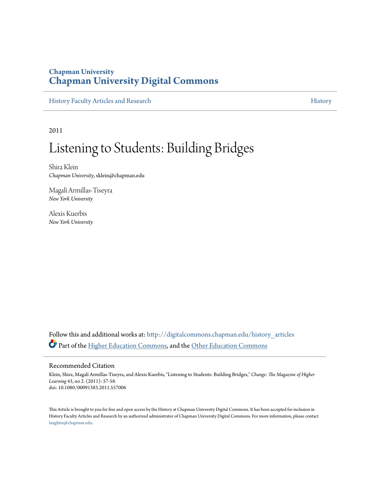### **Chapman University [Chapman University Digital Commons](http://digitalcommons.chapman.edu?utm_source=digitalcommons.chapman.edu%2Fhistory_articles%2F31&utm_medium=PDF&utm_campaign=PDFCoverPages)**

[History Faculty Articles and Research](http://digitalcommons.chapman.edu/history_articles?utm_source=digitalcommons.chapman.edu%2Fhistory_articles%2F31&utm_medium=PDF&utm_campaign=PDFCoverPages) [History](http://digitalcommons.chapman.edu/history?utm_source=digitalcommons.chapman.edu%2Fhistory_articles%2F31&utm_medium=PDF&utm_campaign=PDFCoverPages) History

2011

# Listening to Students: Building Bridges

Shira Klein *Chapman University*, sklein@chapman.edu

Magalí Armillas-Tiseyra *New York University*

Alexis Kuerbis *New York University*

Follow this and additional works at: [http://digitalcommons.chapman.edu/history\\_articles](http://digitalcommons.chapman.edu/history_articles?utm_source=digitalcommons.chapman.edu%2Fhistory_articles%2F31&utm_medium=PDF&utm_campaign=PDFCoverPages) Part of the [Higher Education Commons](http://network.bepress.com/hgg/discipline/1245?utm_source=digitalcommons.chapman.edu%2Fhistory_articles%2F31&utm_medium=PDF&utm_campaign=PDFCoverPages), and the [Other Education Commons](http://network.bepress.com/hgg/discipline/811?utm_source=digitalcommons.chapman.edu%2Fhistory_articles%2F31&utm_medium=PDF&utm_campaign=PDFCoverPages)

#### Recommended Citation

Klein, Shira, Magalí Armillas-Tiseyra, and Alexis Kuerbis, "Listening to Students: Building Bridges," *Change: The Magazine of Higher Learning* 43, no 2. (2011): 57-58. doi: 10.1080/00091383.2011.557006

This Article is brought to you for free and open access by the History at Chapman University Digital Commons. It has been accepted for inclusion in History Faculty Articles and Research by an authorized administrator of Chapman University Digital Commons. For more information, please contact [laughtin@chapman.edu](mailto:laughtin@chapman.edu).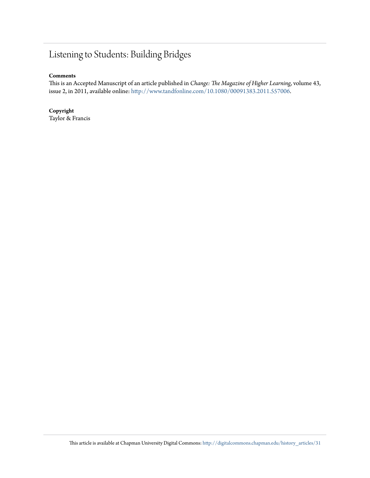## Listening to Students: Building Bridges

#### **Comments**

This is an Accepted Manuscript of an article published in *Change: The Magazine of Higher Learning*, volume 43, issue 2, in 2011, available online: [http://www.tandfonline.com/10.1080/00091383.2011.557006.](http://www.tandfonline.com/10.1080/00091383.2011.557006)

**Copyright** Taylor & Francis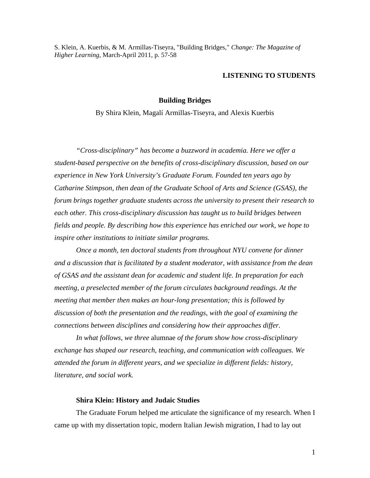S. Klein, A. Kuerbis, & M. Armillas-Tiseyra, "Building Bridges," *Change: The Magazine of Higher Learning*, March-April 2011, p. 57-58

#### **LISTENING TO STUDENTS**

#### **Building Bridges**

By Shira Klein, Magalí Armillas-Tiseyra, and Alexis Kuerbis

*"Cross-disciplinary" has become a buzzword in academia. Here we offer a student-based perspective on the benefits of cross-disciplinary discussion, based on our experience in New York University's Graduate Forum. Founded ten years ago by Catharine Stimpson, then dean of the Graduate School of Arts and Science (GSAS), the forum brings together graduate students across the university to present their research to each other. This cross-disciplinary discussion has taught us to build bridges between fields and people. By describing how this experience has enriched our work, we hope to inspire other institutions to initiate similar programs.*

*Once a month, ten doctoral students from throughout NYU convene for dinner and a discussion that is facilitated by a student moderator, with assistance from the dean of GSAS and the assistant dean for academic and student life. In preparation for each meeting, a preselected member of the forum circulates background readings. At the meeting that member then makes an hour-long presentation; this is followed by discussion of both the presentation and the readings, with the goal of examining the connections between disciplines and considering how their approaches differ.*

*In what follows, we three* alumnae *of the forum show how cross-disciplinary exchange has shaped our research, teaching, and communication with colleagues. We attended the forum in different years, and we specialize in different fields: history, literature, and social work.*

#### **Shira Klein: History and Judaic Studies**

The Graduate Forum helped me articulate the significance of my research. When I came up with my dissertation topic, modern Italian Jewish migration, I had to lay out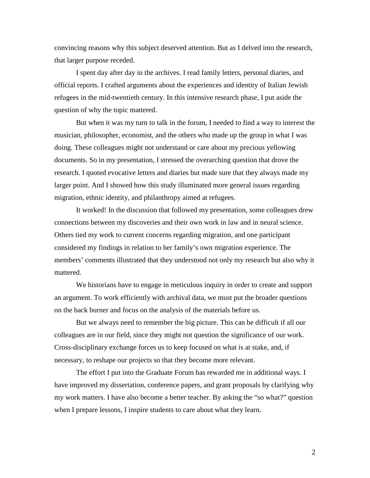convincing reasons why this subject deserved attention. But as I delved into the research, that larger purpose receded.

I spent day after day in the archives. I read family letters, personal diaries, and official reports. I crafted arguments about the experiences and identity of Italian Jewish refugees in the mid-twentieth century. In this intensive research phase, I put aside the question of why the topic mattered.

But when it was my turn to talk in the forum, I needed to find a way to interest the musician, philosopher, economist, and the others who made up the group in what I was doing. These colleagues might not understand or care about my precious yellowing documents. So in my presentation, I stressed the overarching question that drove the research. I quoted evocative letters and diaries but made sure that they always made my larger point. And I showed how this study illuminated more general issues regarding migration, ethnic identity, and philanthropy aimed at refugees.

It worked! In the discussion that followed my presentation, some colleagues drew connections between my discoveries and their own work in law and in neural science. Others tied my work to current concerns regarding migration, and one participant considered my findings in relation to her family's own migration experience. The members' comments illustrated that they understood not only my research but also why it mattered.

We historians have to engage in meticulous inquiry in order to create and support an argument. To work efficiently with archival data, we must put the broader questions on the back burner and focus on the analysis of the materials before us.

But we always need to remember the big picture. This can be difficult if all our colleagues are in our field, since they might not question the significance of our work. Cross-disciplinary exchange forces us to keep focused on what is at stake, and, if necessary, to reshape our projects so that they become more relevant.

The effort I put into the Graduate Forum has rewarded me in additional ways. I have improved my dissertation, conference papers, and grant proposals by clarifying why my work matters. I have also become a better teacher. By asking the "so what?" question when I prepare lessons, I inspire students to care about what they learn.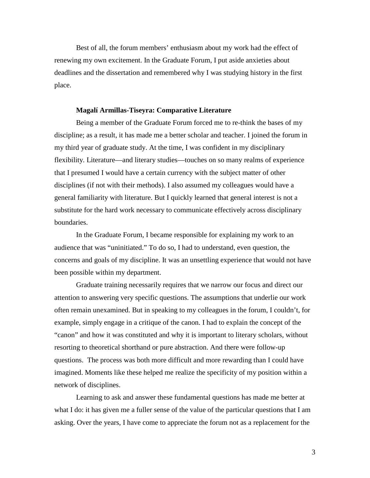Best of all, the forum members' enthusiasm about my work had the effect of renewing my own excitement. In the Graduate Forum, I put aside anxieties about deadlines and the dissertation and remembered why I was studying history in the first place.

#### **Magalí Armillas-Tiseyra: Comparative Literature**

Being a member of the Graduate Forum forced me to re-think the bases of my discipline; as a result, it has made me a better scholar and teacher. I joined the forum in my third year of graduate study. At the time, I was confident in my disciplinary flexibility. Literature—and literary studies—touches on so many realms of experience that I presumed I would have a certain currency with the subject matter of other disciplines (if not with their methods). I also assumed my colleagues would have a general familiarity with literature. But I quickly learned that general interest is not a substitute for the hard work necessary to communicate effectively across disciplinary boundaries.

In the Graduate Forum, I became responsible for explaining my work to an audience that was "uninitiated." To do so, I had to understand, even question, the concerns and goals of my discipline. It was an unsettling experience that would not have been possible within my department.

Graduate training necessarily requires that we narrow our focus and direct our attention to answering very specific questions. The assumptions that underlie our work often remain unexamined. But in speaking to my colleagues in the forum, I couldn't, for example, simply engage in a critique of the canon. I had to explain the concept of the "canon" and how it was constituted and why it is important to literary scholars, without resorting to theoretical shorthand or pure abstraction. And there were follow-up questions. The process was both more difficult and more rewarding than I could have imagined. Moments like these helped me realize the specificity of my position within a network of disciplines.

Learning to ask and answer these fundamental questions has made me better at what I do: it has given me a fuller sense of the value of the particular questions that I am asking. Over the years, I have come to appreciate the forum not as a replacement for the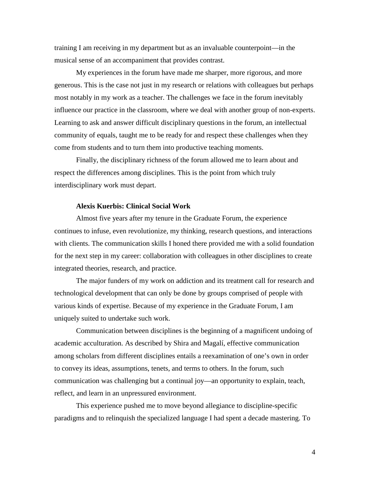training I am receiving in my department but as an invaluable counterpoint—in the musical sense of an accompaniment that provides contrast.

My experiences in the forum have made me sharper, more rigorous, and more generous. This is the case not just in my research or relations with colleagues but perhaps most notably in my work as a teacher. The challenges we face in the forum inevitably influence our practice in the classroom, where we deal with another group of non-experts. Learning to ask and answer difficult disciplinary questions in the forum, an intellectual community of equals, taught me to be ready for and respect these challenges when they come from students and to turn them into productive teaching moments.

Finally, the disciplinary richness of the forum allowed me to learn about and respect the differences among disciplines. This is the point from which truly interdisciplinary work must depart.

#### **Alexis Kuerbis: Clinical Social Work**

Almost five years after my tenure in the Graduate Forum, the experience continues to infuse, even revolutionize, my thinking, research questions, and interactions with clients. The communication skills I honed there provided me with a solid foundation for the next step in my career: collaboration with colleagues in other disciplines to create integrated theories, research, and practice.

The major funders of my work on addiction and its treatment call for research and technological development that can only be done by groups comprised of people with various kinds of expertise. Because of my experience in the Graduate Forum, I am uniquely suited to undertake such work.

Communication between disciplines is the beginning of a magnificent undoing of academic acculturation. As described by Shira and Magalí, effective communication among scholars from different disciplines entails a reexamination of one's own in order to convey its ideas, assumptions, tenets, and terms to others. In the forum, such communication was challenging but a continual joy—an opportunity to explain, teach, reflect, and learn in an unpressured environment.

This experience pushed me to move beyond allegiance to discipline-specific paradigms and to relinquish the specialized language I had spent a decade mastering. To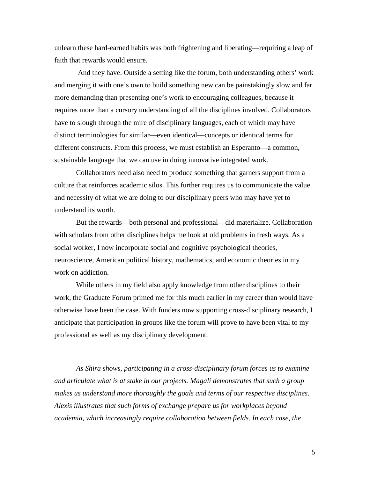unlearn these hard-earned habits was both frightening and liberating—requiring a leap of faith that rewards would ensure.

And they have. Outside a setting like the forum, both understanding others' work and merging it with one's own to build something new can be painstakingly slow and far more demanding than presenting one's work to encouraging colleagues, because it requires more than a cursory understanding of all the disciplines involved. Collaborators have to slough through the mire of disciplinary languages, each of which may have distinct terminologies for similar—even identical—concepts or identical terms for different constructs. From this process, we must establish an Esperanto—a common, sustainable language that we can use in doing innovative integrated work.

Collaborators need also need to produce something that garners support from a culture that reinforces academic silos. This further requires us to communicate the value and necessity of what we are doing to our disciplinary peers who may have yet to understand its worth.

But the rewards—both personal and professional—did materialize. Collaboration with scholars from other disciplines helps me look at old problems in fresh ways. As a social worker, I now incorporate social and cognitive psychological theories, neuroscience, American political history, mathematics, and economic theories in my work on addiction.

While others in my field also apply knowledge from other disciplines to their work, the Graduate Forum primed me for this much earlier in my career than would have otherwise have been the case. With funders now supporting cross-disciplinary research, I anticipate that participation in groups like the forum will prove to have been vital to my professional as well as my disciplinary development.

*As Shira shows, participating in a cross-disciplinary forum forces us to examine and articulate what is at stake in our projects. Magalí demonstrates that such a group makes us understand more thoroughly the goals and terms of our respective disciplines. Alexis illustrates that such forms of exchange prepare us for workplaces beyond academia, which increasingly require collaboration between fields. In each case, the*